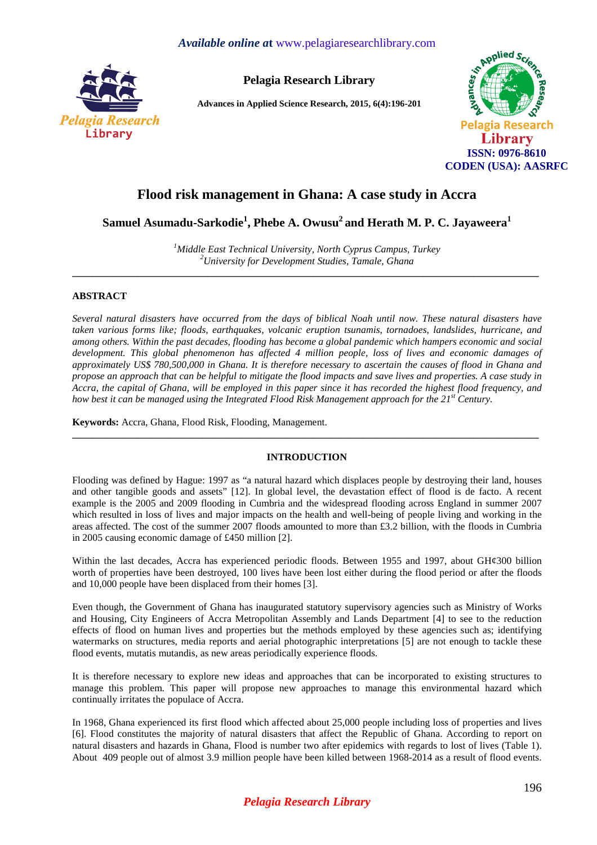

**Pelagia Research Library** 

**Advances in Applied Science Research, 2015, 6(4):196-201** 



# **Flood risk management in Ghana: A case study in Accra**

**Samuel Asumadu-Sarkodie<sup>1</sup> , Phebe A. Owusu<sup>2</sup>and Herath M. P. C. Jayaweera<sup>1</sup>**

*<sup>1</sup>Middle East Technical University, North Cyprus Campus, Turkey <sup>2</sup>University for Development Studies, Tamale, Ghana*  **\_\_\_\_\_\_\_\_\_\_\_\_\_\_\_\_\_\_\_\_\_\_\_\_\_\_\_\_\_\_\_\_\_\_\_\_\_\_\_\_\_\_\_\_\_\_\_\_\_\_\_\_\_\_\_\_\_\_\_\_\_\_\_\_\_\_\_\_\_\_\_\_\_\_\_\_\_\_\_\_\_\_\_\_\_\_\_\_\_\_\_\_\_** 

## **ABSTRACT**

*Several natural disasters have occurred from the days of biblical Noah until now. These natural disasters have taken various forms like; floods, earthquakes, volcanic eruption tsunamis, tornadoes, landslides, hurricane, and among others. Within the past decades, flooding has become a global pandemic which hampers economic and social development. This global phenomenon has affected 4 million people, loss of lives and economic damages of approximately US\$ 780,500,000 in Ghana. It is therefore necessary to ascertain the causes of flood in Ghana and propose an approach that can be helpful to mitigate the flood impacts and save lives and properties. A case study in Accra, the capital of Ghana, will be employed in this paper since it has recorded the highest flood frequency, and how best it can be managed using the Integrated Flood Risk Management approach for the 21st Century.* 

**Keywords:** Accra, Ghana, Flood Risk, Flooding, Management.

## **INTRODUCTION**

**\_\_\_\_\_\_\_\_\_\_\_\_\_\_\_\_\_\_\_\_\_\_\_\_\_\_\_\_\_\_\_\_\_\_\_\_\_\_\_\_\_\_\_\_\_\_\_\_\_\_\_\_\_\_\_\_\_\_\_\_\_\_\_\_\_\_\_\_\_\_\_\_\_\_\_\_\_\_\_\_\_\_\_\_\_\_\_\_\_\_\_\_\_** 

Flooding was defined by Hague: 1997 as "a natural hazard which displaces people by destroying their land, houses and other tangible goods and assets" [12]. In global level, the devastation effect of flood is de facto. A recent example is the 2005 and 2009 flooding in Cumbria and the widespread flooding across England in summer 2007 which resulted in loss of lives and major impacts on the health and well-being of people living and working in the areas affected. The cost of the summer 2007 floods amounted to more than £3.2 billion, with the floods in Cumbria in 2005 causing economic damage of £450 million [2].

Within the last decades, Accra has experienced periodic floods. Between 1955 and 1997, about GH¢300 billion worth of properties have been destroyed, 100 lives have been lost either during the flood period or after the floods and 10,000 people have been displaced from their homes [3].

Even though, the Government of Ghana has inaugurated statutory supervisory agencies such as Ministry of Works and Housing, City Engineers of Accra Metropolitan Assembly and Lands Department [4] to see to the reduction effects of flood on human lives and properties but the methods employed by these agencies such as; identifying watermarks on structures, media reports and aerial photographic interpretations [5] are not enough to tackle these flood events, mutatis mutandis, as new areas periodically experience floods.

It is therefore necessary to explore new ideas and approaches that can be incorporated to existing structures to manage this problem. This paper will propose new approaches to manage this environmental hazard which continually irritates the populace of Accra.

In 1968, Ghana experienced its first flood which affected about 25,000 people including loss of properties and lives [6]. Flood constitutes the majority of natural disasters that affect the Republic of Ghana. According to report on natural disasters and hazards in Ghana, Flood is number two after epidemics with regards to lost of lives (Table 1). About 409 people out of almost 3.9 million people have been killed between 1968-2014 as a result of flood events.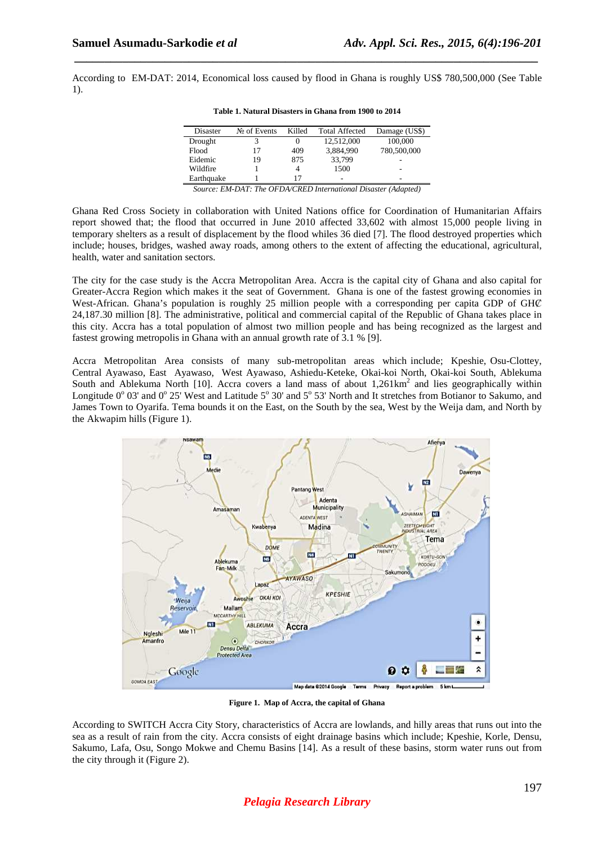Ĭ.

According to EM-DAT: 2014, Economical loss caused by flood in Ghana is roughly US\$ 780,500,000 (See Table 1).

 *\_\_\_\_\_\_\_\_\_\_\_\_\_\_\_\_\_\_\_\_\_\_\_\_\_\_\_\_\_\_\_\_\_\_\_\_\_\_\_\_\_\_\_\_\_\_\_\_\_\_\_\_\_\_\_\_\_\_\_\_\_\_\_\_\_\_\_\_\_\_\_\_\_\_\_\_\_*

| Disaster   | $N_2$ of Events | Killed | <b>Total Affected</b> | Damage (US\$) |
|------------|-----------------|--------|-----------------------|---------------|
| Drought    | 3               | 0      | 12,512,000            | 100,000       |
| Flood      | 17              | 409    | 3,884,990             | 780,500,000   |
| Eidemic    | 19              | 875    | 33,799                |               |
| Wildfire   |                 | 4      | 1500                  | -             |
| Earthquake |                 | 17     | -                     | -             |

*Source: EM-DAT: The OFDA/CRED International Disaster (Adapted)* 

Ghana Red Cross Society in collaboration with United Nations office for Coordination of Humanitarian Affairs report showed that; the flood that occurred in June 2010 affected 33,602 with almost 15,000 people living in temporary shelters as a result of displacement by the flood whiles 36 died [7]. The flood destroyed properties which include; houses, bridges, washed away roads, among others to the extent of affecting the educational, agricultural, health, water and sanitation sectors.

The city for the case study is the Accra Metropolitan Area. Accra is the capital city of Ghana and also capital for Greater-Accra Region which makes it the seat of Government. Ghana is one of the fastest growing economies in West-African. Ghana's population is roughly 25 million people with a corresponding per capita GDP of GHC 24,187.30 million [8]. The administrative, political and commercial capital of the Republic of Ghana takes place in this city. Accra has a total population of almost two million people and has being recognized as the largest and fastest growing metropolis in Ghana with an annual growth rate of 3.1 % [9].

Accra Metropolitan Area consists of many sub-metropolitan areas which include; Kpeshie, Osu-Clottey, Central Ayawaso, East Ayawaso, West Ayawaso, Ashiedu-Keteke, Okai-koi North, Okai-koi South, Ablekuma South and Ablekuma North [10]. Accra covers a land mass of about  $1,261 \text{km}^2$  and lies geographically within Longitude  $0^{\circ}$  03' and  $0^{\circ}$  25' West and Latitude 5 $^{\circ}$  30' and 5 $^{\circ}$  53' North and It stretches from Botianor to Sakumo, and James Town to Oyarifa. Tema bounds it on the East, on the South by the sea, West by the Weija dam, and North by the Akwapim hills (Figure 1).



**Figure 1. Map of Accra, the capital of Ghana** 

According to SWITCH Accra City Story, characteristics of Accra are lowlands, and hilly areas that runs out into the sea as a result of rain from the city. Accra consists of eight drainage basins which include; Kpeshie, Korle, Densu, Sakumo, Lafa, Osu, Songo Mokwe and Chemu Basins [14]. As a result of these basins, storm water runs out from the city through it (Figure 2).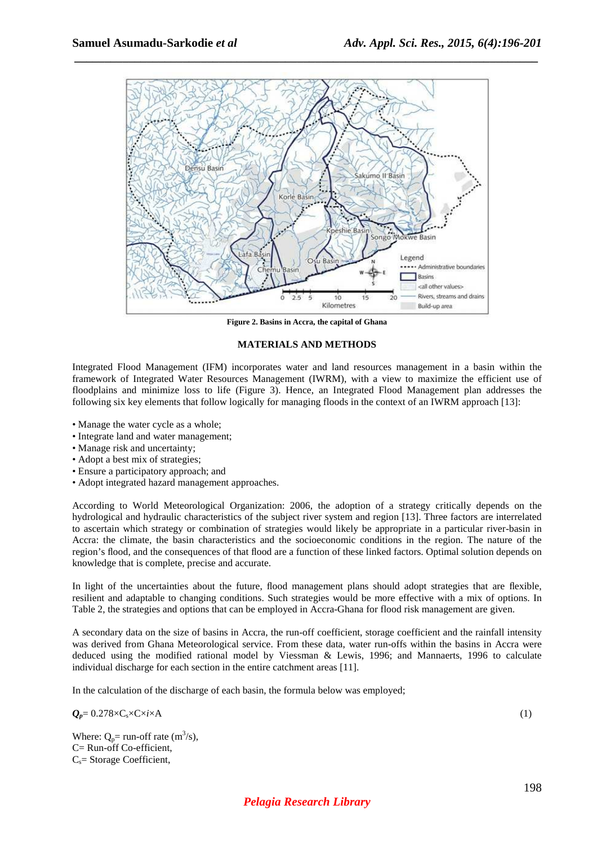

 *\_\_\_\_\_\_\_\_\_\_\_\_\_\_\_\_\_\_\_\_\_\_\_\_\_\_\_\_\_\_\_\_\_\_\_\_\_\_\_\_\_\_\_\_\_\_\_\_\_\_\_\_\_\_\_\_\_\_\_\_\_\_\_\_\_\_\_\_\_\_\_\_\_\_\_\_\_*

**Figure 2. Basins in Accra, the capital of Ghana** 

#### **MATERIALS AND METHODS**

Integrated Flood Management (IFM) incorporates water and land resources management in a basin within the framework of Integrated Water Resources Management (IWRM), with a view to maximize the efficient use of floodplains and minimize loss to life (Figure 3). Hence, an Integrated Flood Management plan addresses the following six key elements that follow logically for managing floods in the context of an IWRM approach [13]:

- Manage the water cycle as a whole;
- Integrate land and water management;
- Manage risk and uncertainty:
- Adopt a best mix of strategies;
- Ensure a participatory approach; and
- Adopt integrated hazard management approaches.

According to World Meteorological Organization: 2006, the adoption of a strategy critically depends on the hydrological and hydraulic characteristics of the subject river system and region [13]. Three factors are interrelated to ascertain which strategy or combination of strategies would likely be appropriate in a particular river-basin in Accra: the climate, the basin characteristics and the socioeconomic conditions in the region. The nature of the region's flood, and the consequences of that flood are a function of these linked factors. Optimal solution depends on knowledge that is complete, precise and accurate.

In light of the uncertainties about the future, flood management plans should adopt strategies that are flexible, resilient and adaptable to changing conditions. Such strategies would be more effective with a mix of options. In Table 2, the strategies and options that can be employed in Accra-Ghana for flood risk management are given.

A secondary data on the size of basins in Accra, the run-off coefficient, storage coefficient and the rainfall intensity was derived from Ghana Meteorological service. From these data, water run-offs within the basins in Accra were deduced using the modified rational model by Viessman & Lewis, 1996; and Mannaerts, 1996 to calculate individual discharge for each section in the entire catchment areas [11].

In the calculation of the discharge of each basin, the formula below was employed;

 $Q_p = 0.278 \times C_s \times C \times i \times A$  (1)

Where:  $Q_p$ = run-off rate (m<sup>3</sup>/s), C= Run-off Co-efficient,  $C_s$ = Storage Coefficient,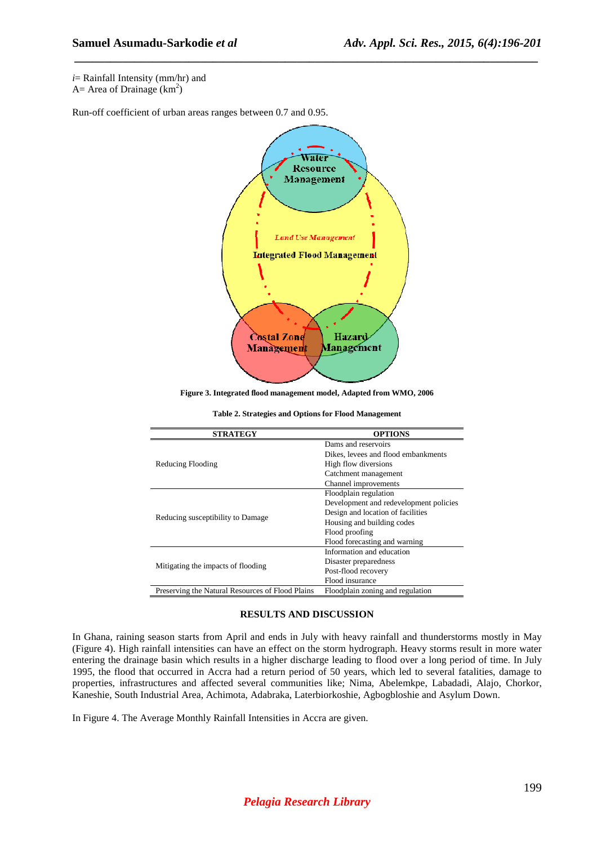*i*= Rainfall Intensity (mm/hr) and

A = Area of Drainage  $(km^2)$ 

Run-off coefficient of urban areas ranges between 0.7 and 0.95.



 *\_\_\_\_\_\_\_\_\_\_\_\_\_\_\_\_\_\_\_\_\_\_\_\_\_\_\_\_\_\_\_\_\_\_\_\_\_\_\_\_\_\_\_\_\_\_\_\_\_\_\_\_\_\_\_\_\_\_\_\_\_\_\_\_\_\_\_\_\_\_\_\_\_\_\_\_\_*

**Figure 3. Integrated flood management model, Adapted from WMO, 2006** 

| Table 2. Strategies and Options for Flood Management |
|------------------------------------------------------|
|                                                      |

| <b>STRATEGY</b>                                  | <b>OPTIONS</b>                         |  |
|--------------------------------------------------|----------------------------------------|--|
|                                                  | Dams and reservoirs                    |  |
|                                                  | Dikes, levees and flood embankments    |  |
| Reducing Flooding                                | High flow diversions                   |  |
|                                                  | Catchment management                   |  |
|                                                  | Channel improvements                   |  |
|                                                  | Floodplain regulation                  |  |
|                                                  | Development and redevelopment policies |  |
|                                                  | Design and location of facilities      |  |
| Reducing susceptibility to Damage                | Housing and building codes             |  |
|                                                  | Flood proofing                         |  |
|                                                  | Flood forecasting and warning          |  |
|                                                  | Information and education              |  |
| Mitigating the impacts of flooding               | Disaster preparedness                  |  |
|                                                  | Post-flood recovery                    |  |
|                                                  | Flood insurance                        |  |
| Preserving the Natural Resources of Flood Plains | Floodplain zoning and regulation       |  |

#### **RESULTS AND DISCUSSION**

In Ghana, raining season starts from April and ends in July with heavy rainfall and thunderstorms mostly in May (Figure 4). High rainfall intensities can have an effect on the storm hydrograph. Heavy storms result in more water entering the drainage basin which results in a higher discharge leading to flood over a long period of time. In July 1995, the flood that occurred in Accra had a return period of 50 years, which led to several fatalities, damage to properties, infrastructures and affected several communities like; Nima, Abelemkpe, Labadadi, Alajo, Chorkor, Kaneshie, South Industrial Area, Achimota, Adabraka, Laterbiorkoshie, Agbogbloshie and Asylum Down.

In Figure 4. The Average Monthly Rainfall Intensities in Accra are given.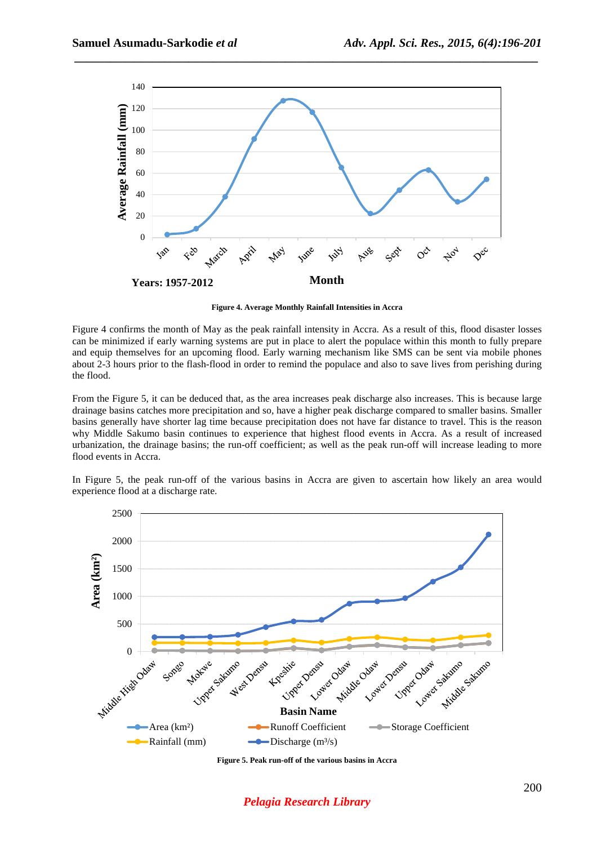

 *\_\_\_\_\_\_\_\_\_\_\_\_\_\_\_\_\_\_\_\_\_\_\_\_\_\_\_\_\_\_\_\_\_\_\_\_\_\_\_\_\_\_\_\_\_\_\_\_\_\_\_\_\_\_\_\_\_\_\_\_\_\_\_\_\_\_\_\_\_\_\_\_\_\_\_\_\_*

**Figure 4. Average Monthly Rainfall Intensities in Accra** 

Figure 4 confirms the month of May as the peak rainfall intensity in Accra. As a result of this, flood disaster losses can be minimized if early warning systems are put in place to alert the populace within this month to fully prepare and equip themselves for an upcoming flood. Early warning mechanism like SMS can be sent via mobile phones about 2-3 hours prior to the flash-flood in order to remind the populace and also to save lives from perishing during the flood.

From the Figure 5, it can be deduced that, as the area increases peak discharge also increases. This is because large drainage basins catches more precipitation and so, have a higher peak discharge compared to smaller basins. Smaller basins generally have shorter lag time because precipitation does not have far distance to travel. This is the reason why Middle Sakumo basin continues to experience that highest flood events in Accra. As a result of increased urbanization, the drainage basins; the run-off coefficient; as well as the peak run-off will increase leading to more flood events in Accra.





**Figure 5. Peak run-off of the various basins in Accra** 

# *Pelagia Research Library*